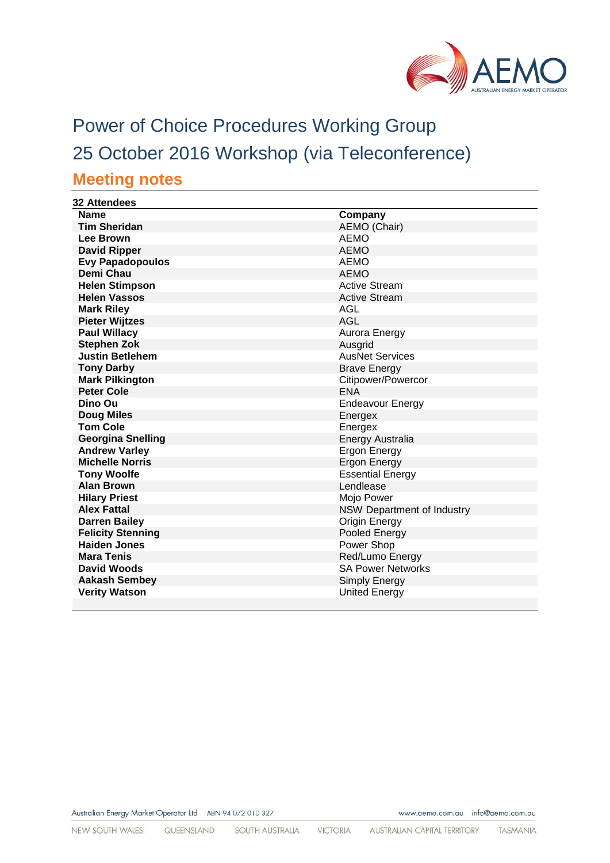

# Power of Choice Procedures Working Group 25 October 2016 Workshop (via Teleconference) **Meeting notes**

| <b>32 Attendees</b>      |                                   |
|--------------------------|-----------------------------------|
| <b>Name</b>              | Company                           |
| <b>Tim Sheridan</b>      | AEMO (Chair)                      |
| <b>Lee Brown</b>         | <b>AEMO</b>                       |
| <b>David Ripper</b>      | <b>AEMO</b>                       |
| <b>Evy Papadopoulos</b>  | <b>AEMO</b>                       |
| <b>Demi Chau</b>         | <b>AEMO</b>                       |
| <b>Helen Stimpson</b>    | <b>Active Stream</b>              |
| <b>Helen Vassos</b>      | <b>Active Stream</b>              |
| <b>Mark Riley</b>        | AGL                               |
| <b>Pieter Wijtzes</b>    | <b>AGL</b>                        |
| <b>Paul Willacy</b>      | Aurora Energy                     |
| <b>Stephen Zok</b>       | Ausgrid                           |
| <b>Justin Betlehem</b>   | <b>AusNet Services</b>            |
| <b>Tony Darby</b>        | <b>Brave Energy</b>               |
| <b>Mark Pilkington</b>   | Citipower/Powercor                |
| <b>Peter Cole</b>        | <b>ENA</b>                        |
| Dino Ou                  | <b>Endeavour Energy</b>           |
| <b>Doug Miles</b>        | Energex                           |
| <b>Tom Cole</b>          | Energex                           |
| <b>Georgina Snelling</b> | <b>Energy Australia</b>           |
| <b>Andrew Varley</b>     | <b>Ergon Energy</b>               |
| <b>Michelle Norris</b>   | <b>Ergon Energy</b>               |
| <b>Tony Woolfe</b>       | <b>Essential Energy</b>           |
| <b>Alan Brown</b>        | Lendlease                         |
| <b>Hilary Priest</b>     | Mojo Power                        |
| <b>Alex Fattal</b>       | <b>NSW Department of Industry</b> |
| <b>Darren Bailey</b>     | Origin Energy                     |
| <b>Felicity Stenning</b> | Pooled Energy                     |
| <b>Haiden Jones</b>      | Power Shop                        |
| <b>Mara Tenis</b>        | Red/Lumo Energy                   |
| David Woods              | <b>SA Power Networks</b>          |
| <b>Aakash Sembey</b>     | Simply Energy                     |
| <b>Verity Watson</b>     | <b>United Energy</b>              |
|                          |                                   |

Australian Energy Market Operator Ltd ABN 94 072 010 327

www.aemo.com.au info@aemo.com.au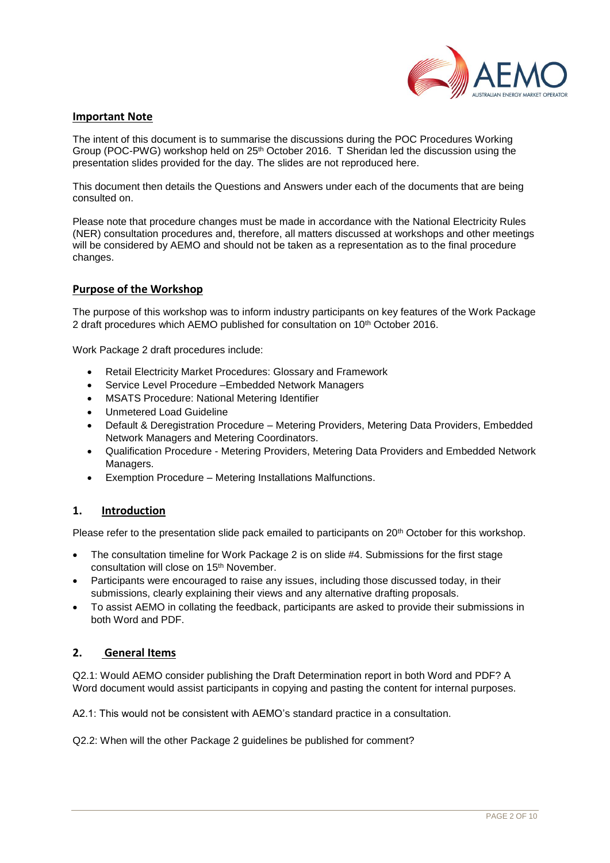

#### **Important Note**

The intent of this document is to summarise the discussions during the POC Procedures Working Group (POC-PWG) workshop held on 25th October 2016. T Sheridan led the discussion using the presentation slides provided for the day. The slides are not reproduced here.

This document then details the Questions and Answers under each of the documents that are being consulted on.

Please note that procedure changes must be made in accordance with the National Electricity Rules (NER) consultation procedures and, therefore, all matters discussed at workshops and other meetings will be considered by AEMO and should not be taken as a representation as to the final procedure changes.

#### **Purpose of the Workshop**

The purpose of this workshop was to inform industry participants on key features of the Work Package 2 draft procedures which AEMO published for consultation on 10th October 2016.

Work Package 2 draft procedures include:

- Retail Electricity Market Procedures: Glossary and Framework
- Service Level Procedure –Embedded Network Managers
- MSATS Procedure: National Metering Identifier
- Unmetered Load Guideline
- Default & Deregistration Procedure Metering Providers, Metering Data Providers, Embedded Network Managers and Metering Coordinators.
- Qualification Procedure Metering Providers, Metering Data Providers and Embedded Network Managers.
- Exemption Procedure Metering Installations Malfunctions.

## **1. Introduction**

Please refer to the presentation slide pack emailed to participants on 20<sup>th</sup> October for this workshop.

- The consultation timeline for Work Package 2 is on slide #4. Submissions for the first stage consultation will close on 15th November.
- Participants were encouraged to raise any issues, including those discussed today, in their submissions, clearly explaining their views and any alternative drafting proposals.
- To assist AEMO in collating the feedback, participants are asked to provide their submissions in both Word and PDF.

## **2. General Items**

Q2.1: Would AEMO consider publishing the Draft Determination report in both Word and PDF? A Word document would assist participants in copying and pasting the content for internal purposes.

A2.1: This would not be consistent with AEMO's standard practice in a consultation.

Q2.2: When will the other Package 2 guidelines be published for comment?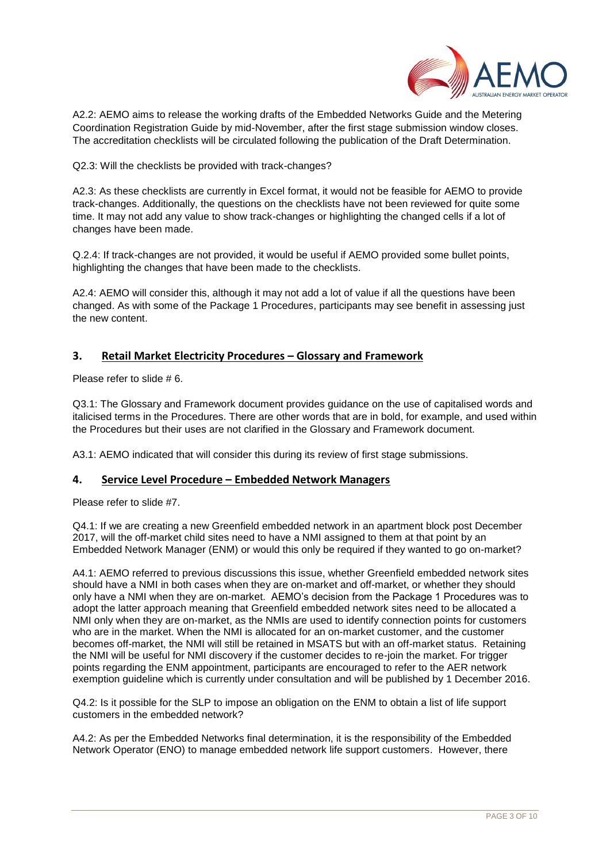

A2.2: AEMO aims to release the working drafts of the Embedded Networks Guide and the Metering Coordination Registration Guide by mid-November, after the first stage submission window closes. The accreditation checklists will be circulated following the publication of the Draft Determination.

Q2.3: Will the checklists be provided with track-changes?

A2.3: As these checklists are currently in Excel format, it would not be feasible for AEMO to provide track-changes. Additionally, the questions on the checklists have not been reviewed for quite some time. It may not add any value to show track-changes or highlighting the changed cells if a lot of changes have been made.

Q.2.4: If track-changes are not provided, it would be useful if AEMO provided some bullet points, highlighting the changes that have been made to the checklists.

A2.4: AEMO will consider this, although it may not add a lot of value if all the questions have been changed. As with some of the Package 1 Procedures, participants may see benefit in assessing just the new content.

## **3. Retail Market Electricity Procedures – Glossary and Framework**

Please refer to slide # 6.

Q3.1: The Glossary and Framework document provides guidance on the use of capitalised words and italicised terms in the Procedures. There are other words that are in bold, for example, and used within the Procedures but their uses are not clarified in the Glossary and Framework document.

A3.1: AEMO indicated that will consider this during its review of first stage submissions.

## **4. Service Level Procedure – Embedded Network Managers**

Please refer to slide #7.

Q4.1: If we are creating a new Greenfield embedded network in an apartment block post December 2017, will the off-market child sites need to have a NMI assigned to them at that point by an Embedded Network Manager (ENM) or would this only be required if they wanted to go on-market?

A4.1: AEMO referred to previous discussions this issue, whether Greenfield embedded network sites should have a NMI in both cases when they are on-market and off-market, or whether they should only have a NMI when they are on-market. AEMO's decision from the Package 1 Procedures was to adopt the latter approach meaning that Greenfield embedded network sites need to be allocated a NMI only when they are on-market, as the NMIs are used to identify connection points for customers who are in the market. When the NMI is allocated for an on-market customer, and the customer becomes off-market, the NMI will still be retained in MSATS but with an off-market status. Retaining the NMI will be useful for NMI discovery if the customer decides to re-join the market. For trigger points regarding the ENM appointment, participants are encouraged to refer to the AER network exemption guideline which is currently under consultation and will be published by 1 December 2016.

Q4.2: Is it possible for the SLP to impose an obligation on the ENM to obtain a list of life support customers in the embedded network?

A4.2: As per the Embedded Networks final determination, it is the responsibility of the Embedded Network Operator (ENO) to manage embedded network life support customers. However, there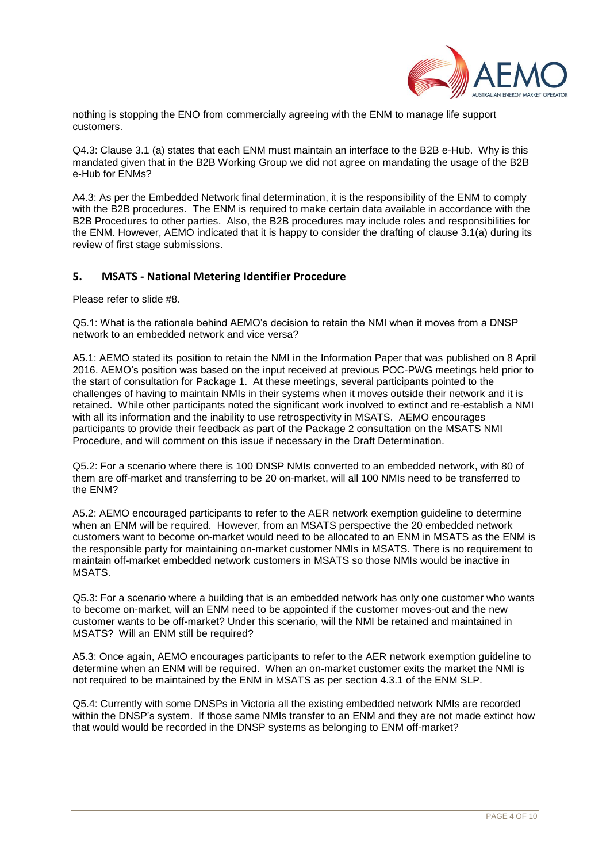

nothing is stopping the ENO from commercially agreeing with the ENM to manage life support customers.

Q4.3: Clause 3.1 (a) states that each ENM must maintain an interface to the B2B e-Hub. Why is this mandated given that in the B2B Working Group we did not agree on mandating the usage of the B2B e-Hub for ENMs?

A4.3: As per the Embedded Network final determination, it is the responsibility of the ENM to comply with the B2B procedures. The ENM is required to make certain data available in accordance with the B2B Procedures to other parties. Also, the B2B procedures may include roles and responsibilities for the ENM. However, AEMO indicated that it is happy to consider the drafting of clause 3.1(a) during its review of first stage submissions.

## **5. MSATS - National Metering Identifier Procedure**

Please refer to slide #8.

Q5.1: What is the rationale behind AEMO's decision to retain the NMI when it moves from a DNSP network to an embedded network and vice versa?

A5.1: AEMO stated its position to retain the NMI in the Information Paper that was published on 8 April 2016. AEMO's position was based on the input received at previous POC-PWG meetings held prior to the start of consultation for Package 1. At these meetings, several participants pointed to the challenges of having to maintain NMIs in their systems when it moves outside their network and it is retained. While other participants noted the significant work involved to extinct and re-establish a NMI with all its information and the inability to use retrospectivity in MSATS. AEMO encourages participants to provide their feedback as part of the Package 2 consultation on the MSATS NMI Procedure, and will comment on this issue if necessary in the Draft Determination.

Q5.2: For a scenario where there is 100 DNSP NMIs converted to an embedded network, with 80 of them are off-market and transferring to be 20 on-market, will all 100 NMIs need to be transferred to the ENM?

A5.2: AEMO encouraged participants to refer to the AER network exemption guideline to determine when an ENM will be required. However, from an MSATS perspective the 20 embedded network customers want to become on-market would need to be allocated to an ENM in MSATS as the ENM is the responsible party for maintaining on-market customer NMIs in MSATS. There is no requirement to maintain off-market embedded network customers in MSATS so those NMIs would be inactive in MSATS.

Q5.3: For a scenario where a building that is an embedded network has only one customer who wants to become on-market, will an ENM need to be appointed if the customer moves-out and the new customer wants to be off-market? Under this scenario, will the NMI be retained and maintained in MSATS? Will an ENM still be required?

A5.3: Once again, AEMO encourages participants to refer to the AER network exemption guideline to determine when an ENM will be required. When an on-market customer exits the market the NMI is not required to be maintained by the ENM in MSATS as per section 4.3.1 of the ENM SLP.

Q5.4: Currently with some DNSPs in Victoria all the existing embedded network NMIs are recorded within the DNSP's system. If those same NMIs transfer to an ENM and they are not made extinct how that would would be recorded in the DNSP systems as belonging to ENM off-market?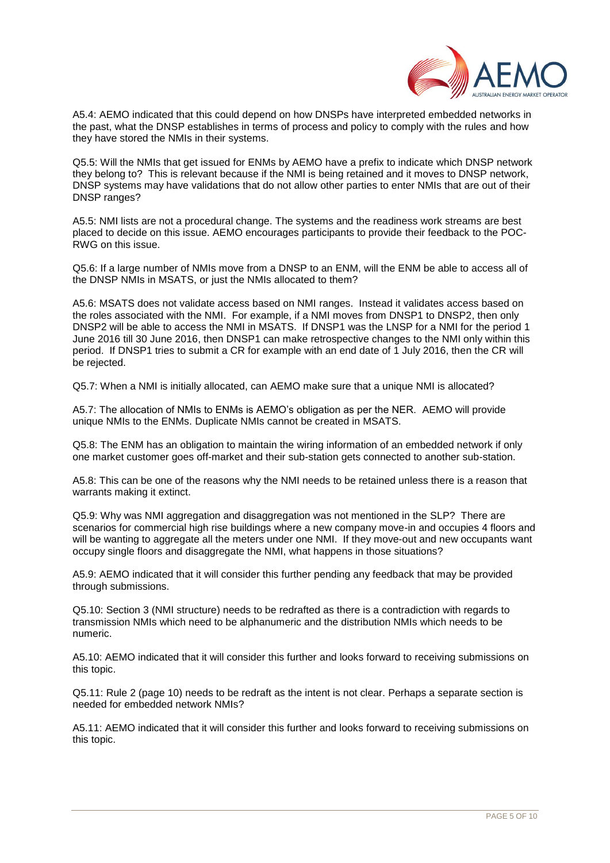

A5.4: AEMO indicated that this could depend on how DNSPs have interpreted embedded networks in the past, what the DNSP establishes in terms of process and policy to comply with the rules and how they have stored the NMIs in their systems.

Q5.5: Will the NMIs that get issued for ENMs by AEMO have a prefix to indicate which DNSP network they belong to? This is relevant because if the NMI is being retained and it moves to DNSP network, DNSP systems may have validations that do not allow other parties to enter NMIs that are out of their DNSP ranges?

A5.5: NMI lists are not a procedural change. The systems and the readiness work streams are best placed to decide on this issue. AEMO encourages participants to provide their feedback to the POC-RWG on this issue.

Q5.6: If a large number of NMIs move from a DNSP to an ENM, will the ENM be able to access all of the DNSP NMIs in MSATS, or just the NMIs allocated to them?

A5.6: MSATS does not validate access based on NMI ranges. Instead it validates access based on the roles associated with the NMI. For example, if a NMI moves from DNSP1 to DNSP2, then only DNSP2 will be able to access the NMI in MSATS. If DNSP1 was the LNSP for a NMI for the period 1 June 2016 till 30 June 2016, then DNSP1 can make retrospective changes to the NMI only within this period. If DNSP1 tries to submit a CR for example with an end date of 1 July 2016, then the CR will be rejected.

Q5.7: When a NMI is initially allocated, can AEMO make sure that a unique NMI is allocated?

A5.7: The allocation of NMIs to ENMs is AEMO's obligation as per the NER. AEMO will provide unique NMIs to the ENMs. Duplicate NMIs cannot be created in MSATS.

Q5.8: The ENM has an obligation to maintain the wiring information of an embedded network if only one market customer goes off-market and their sub-station gets connected to another sub-station.

A5.8: This can be one of the reasons why the NMI needs to be retained unless there is a reason that warrants making it extinct.

Q5.9: Why was NMI aggregation and disaggregation was not mentioned in the SLP? There are scenarios for commercial high rise buildings where a new company move-in and occupies 4 floors and will be wanting to aggregate all the meters under one NMI. If they move-out and new occupants want occupy single floors and disaggregate the NMI, what happens in those situations?

A5.9: AEMO indicated that it will consider this further pending any feedback that may be provided through submissions.

Q5.10: Section 3 (NMI structure) needs to be redrafted as there is a contradiction with regards to transmission NMIs which need to be alphanumeric and the distribution NMIs which needs to be numeric.

A5.10: AEMO indicated that it will consider this further and looks forward to receiving submissions on this topic.

Q5.11: Rule 2 (page 10) needs to be redraft as the intent is not clear. Perhaps a separate section is needed for embedded network NMIs?

A5.11: AEMO indicated that it will consider this further and looks forward to receiving submissions on this topic.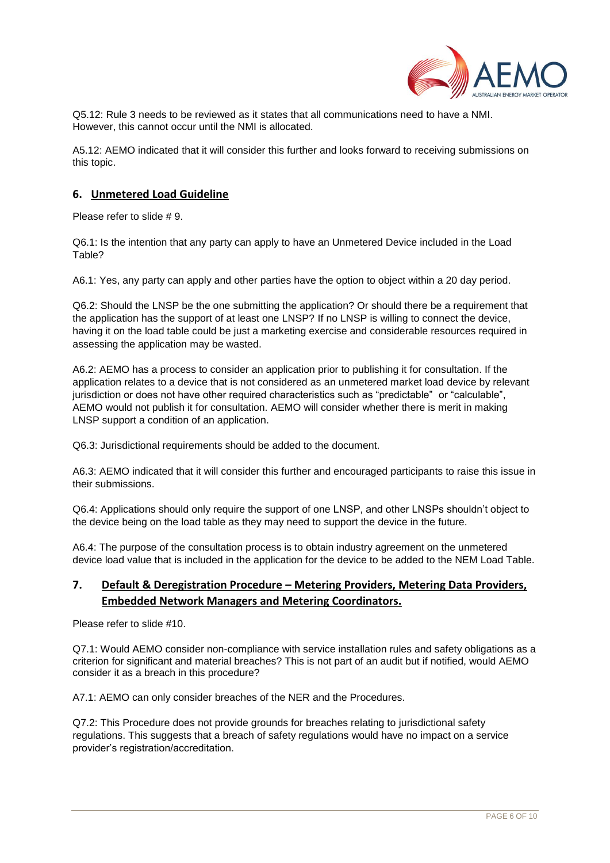

Q5.12: Rule 3 needs to be reviewed as it states that all communications need to have a NMI. However, this cannot occur until the NMI is allocated.

A5.12: AEMO indicated that it will consider this further and looks forward to receiving submissions on this topic.

## **6. Unmetered Load Guideline**

Please refer to slide # 9.

Q6.1: Is the intention that any party can apply to have an Unmetered Device included in the Load Table?

A6.1: Yes, any party can apply and other parties have the option to object within a 20 day period.

Q6.2: Should the LNSP be the one submitting the application? Or should there be a requirement that the application has the support of at least one LNSP? If no LNSP is willing to connect the device, having it on the load table could be just a marketing exercise and considerable resources required in assessing the application may be wasted.

A6.2: AEMO has a process to consider an application prior to publishing it for consultation. If the application relates to a device that is not considered as an unmetered market load device by relevant jurisdiction or does not have other required characteristics such as "predictable" or "calculable", AEMO would not publish it for consultation. AEMO will consider whether there is merit in making LNSP support a condition of an application.

Q6.3: Jurisdictional requirements should be added to the document.

A6.3: AEMO indicated that it will consider this further and encouraged participants to raise this issue in their submissions.

Q6.4: Applications should only require the support of one LNSP, and other LNSPs shouldn't object to the device being on the load table as they may need to support the device in the future.

A6.4: The purpose of the consultation process is to obtain industry agreement on the unmetered device load value that is included in the application for the device to be added to the NEM Load Table.

## **7. Default & Deregistration Procedure – Metering Providers, Metering Data Providers, Embedded Network Managers and Metering Coordinators.**

Please refer to slide #10.

Q7.1: Would AEMO consider non-compliance with service installation rules and safety obligations as a criterion for significant and material breaches? This is not part of an audit but if notified, would AEMO consider it as a breach in this procedure?

A7.1: AEMO can only consider breaches of the NER and the Procedures.

Q7.2: This Procedure does not provide grounds for breaches relating to jurisdictional safety regulations. This suggests that a breach of safety regulations would have no impact on a service provider's registration/accreditation.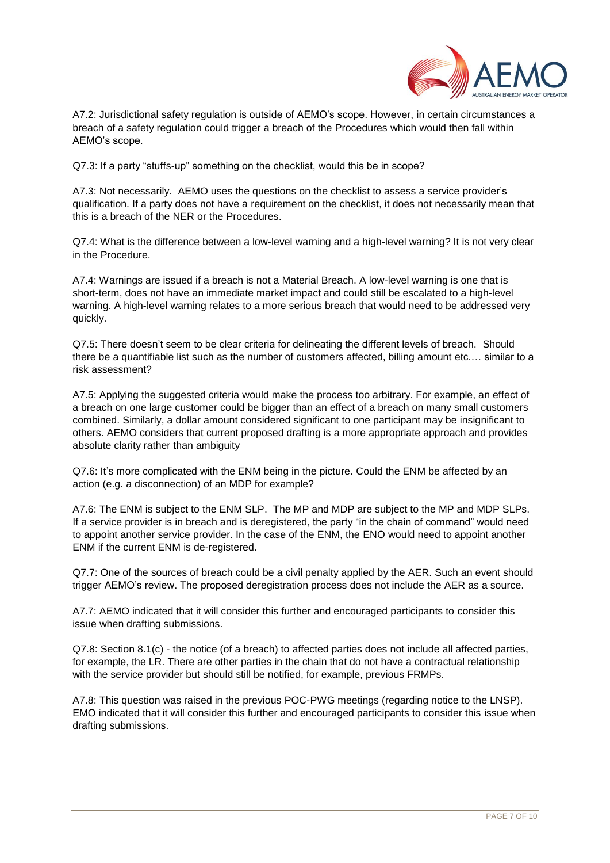

A7.2: Jurisdictional safety regulation is outside of AEMO's scope. However, in certain circumstances a breach of a safety regulation could trigger a breach of the Procedures which would then fall within AEMO's scope.

Q7.3: If a party "stuffs-up" something on the checklist, would this be in scope?

A7.3: Not necessarily. AEMO uses the questions on the checklist to assess a service provider's qualification. If a party does not have a requirement on the checklist, it does not necessarily mean that this is a breach of the NER or the Procedures.

Q7.4: What is the difference between a low-level warning and a high-level warning? It is not very clear in the Procedure.

A7.4: Warnings are issued if a breach is not a Material Breach. A low-level warning is one that is short-term, does not have an immediate market impact and could still be escalated to a high-level warning. A high-level warning relates to a more serious breach that would need to be addressed very quickly.

Q7.5: There doesn't seem to be clear criteria for delineating the different levels of breach. Should there be a quantifiable list such as the number of customers affected, billing amount etc.… similar to a risk assessment?

A7.5: Applying the suggested criteria would make the process too arbitrary. For example, an effect of a breach on one large customer could be bigger than an effect of a breach on many small customers combined. Similarly, a dollar amount considered significant to one participant may be insignificant to others. AEMO considers that current proposed drafting is a more appropriate approach and provides absolute clarity rather than ambiguity

Q7.6: It's more complicated with the ENM being in the picture. Could the ENM be affected by an action (e.g. a disconnection) of an MDP for example?

A7.6: The ENM is subject to the ENM SLP. The MP and MDP are subject to the MP and MDP SLPs. If a service provider is in breach and is deregistered, the party "in the chain of command" would need to appoint another service provider. In the case of the ENM, the ENO would need to appoint another ENM if the current ENM is de-registered.

Q7.7: One of the sources of breach could be a civil penalty applied by the AER. Such an event should trigger AEMO's review. The proposed deregistration process does not include the AER as a source.

A7.7: AEMO indicated that it will consider this further and encouraged participants to consider this issue when drafting submissions.

Q7.8: Section 8.1(c) - the notice (of a breach) to affected parties does not include all affected parties, for example, the LR. There are other parties in the chain that do not have a contractual relationship with the service provider but should still be notified, for example, previous FRMPs.

A7.8: This question was raised in the previous POC-PWG meetings (regarding notice to the LNSP). EMO indicated that it will consider this further and encouraged participants to consider this issue when drafting submissions.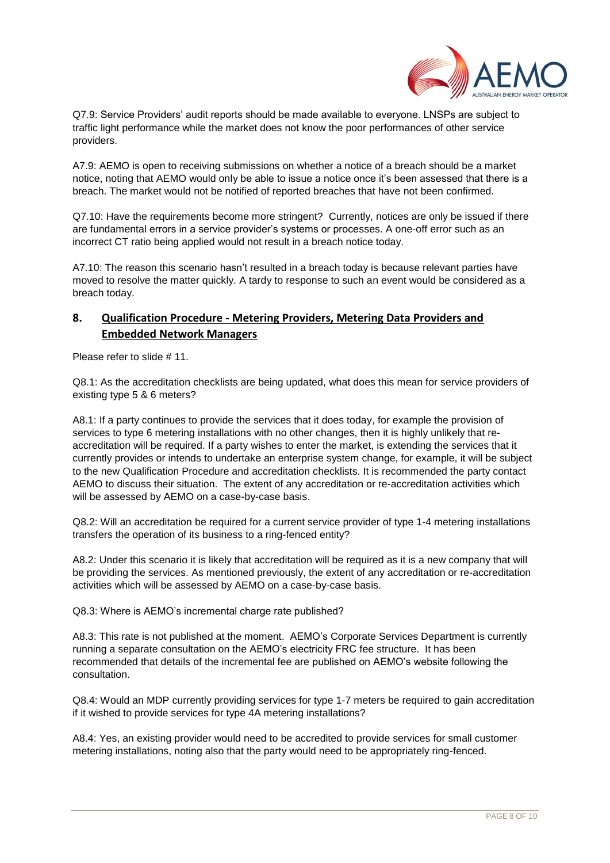

Q7.9: Service Providers' audit reports should be made available to everyone. LNSPs are subject to traffic light performance while the market does not know the poor performances of other service providers.

A7.9: AEMO is open to receiving submissions on whether a notice of a breach should be a market notice, noting that AEMO would only be able to issue a notice once it's been assessed that there is a breach. The market would not be notified of reported breaches that have not been confirmed.

Q7.10: Have the requirements become more stringent? Currently, notices are only be issued if there are fundamental errors in a service provider's systems or processes. A one-off error such as an incorrect CT ratio being applied would not result in a breach notice today.

A7.10: The reason this scenario hasn't resulted in a breach today is because relevant parties have moved to resolve the matter quickly. A tardy to response to such an event would be considered as a breach today.

# **8. Qualification Procedure - Metering Providers, Metering Data Providers and Embedded Network Managers**

Please refer to slide # 11.

Q8.1: As the accreditation checklists are being updated, what does this mean for service providers of existing type 5 & 6 meters?

A8.1: If a party continues to provide the services that it does today, for example the provision of services to type 6 metering installations with no other changes, then it is highly unlikely that reaccreditation will be required. If a party wishes to enter the market, is extending the services that it currently provides or intends to undertake an enterprise system change, for example, it will be subject to the new Qualification Procedure and accreditation checklists. It is recommended the party contact AEMO to discuss their situation. The extent of any accreditation or re-accreditation activities which will be assessed by AEMO on a case-by-case basis.

Q8.2: Will an accreditation be required for a current service provider of type 1-4 metering installations transfers the operation of its business to a ring-fenced entity?

A8.2: Under this scenario it is likely that accreditation will be required as it is a new company that will be providing the services. As mentioned previously, the extent of any accreditation or re-accreditation activities which will be assessed by AEMO on a case-by-case basis.

Q8.3: Where is AEMO's incremental charge rate published?

A8.3: This rate is not published at the moment. AEMO's Corporate Services Department is currently running a separate consultation on the AEMO's electricity FRC fee structure. It has been recommended that details of the incremental fee are published on AEMO's website following the consultation.

Q8.4: Would an MDP currently providing services for type 1-7 meters be required to gain accreditation if it wished to provide services for type 4A metering installations?

A8.4: Yes, an existing provider would need to be accredited to provide services for small customer metering installations, noting also that the party would need to be appropriately ring-fenced.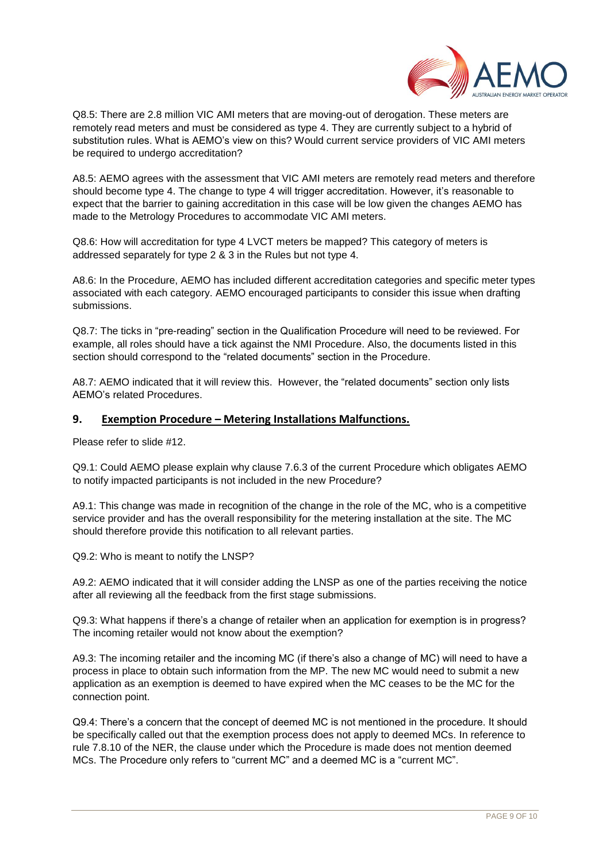

Q8.5: There are 2.8 million VIC AMI meters that are moving-out of derogation. These meters are remotely read meters and must be considered as type 4. They are currently subject to a hybrid of substitution rules. What is AEMO's view on this? Would current service providers of VIC AMI meters be required to undergo accreditation?

A8.5: AEMO agrees with the assessment that VIC AMI meters are remotely read meters and therefore should become type 4. The change to type 4 will trigger accreditation. However, it's reasonable to expect that the barrier to gaining accreditation in this case will be low given the changes AEMO has made to the Metrology Procedures to accommodate VIC AMI meters.

Q8.6: How will accreditation for type 4 LVCT meters be mapped? This category of meters is addressed separately for type 2 & 3 in the Rules but not type 4.

A8.6: In the Procedure, AEMO has included different accreditation categories and specific meter types associated with each category. AEMO encouraged participants to consider this issue when drafting submissions.

Q8.7: The ticks in "pre-reading" section in the Qualification Procedure will need to be reviewed. For example, all roles should have a tick against the NMI Procedure. Also, the documents listed in this section should correspond to the "related documents" section in the Procedure.

A8.7: AEMO indicated that it will review this. However, the "related documents" section only lists AEMO's related Procedures.

## **9. Exemption Procedure – Metering Installations Malfunctions.**

Please refer to slide #12.

Q9.1: Could AEMO please explain why clause 7.6.3 of the current Procedure which obligates AEMO to notify impacted participants is not included in the new Procedure?

A9.1: This change was made in recognition of the change in the role of the MC, who is a competitive service provider and has the overall responsibility for the metering installation at the site. The MC should therefore provide this notification to all relevant parties.

Q9.2: Who is meant to notify the LNSP?

A9.2: AEMO indicated that it will consider adding the LNSP as one of the parties receiving the notice after all reviewing all the feedback from the first stage submissions.

Q9.3: What happens if there's a change of retailer when an application for exemption is in progress? The incoming retailer would not know about the exemption?

A9.3: The incoming retailer and the incoming MC (if there's also a change of MC) will need to have a process in place to obtain such information from the MP. The new MC would need to submit a new application as an exemption is deemed to have expired when the MC ceases to be the MC for the connection point.

Q9.4: There's a concern that the concept of deemed MC is not mentioned in the procedure. It should be specifically called out that the exemption process does not apply to deemed MCs. In reference to rule 7.8.10 of the NER, the clause under which the Procedure is made does not mention deemed MCs. The Procedure only refers to "current MC" and a deemed MC is a "current MC".